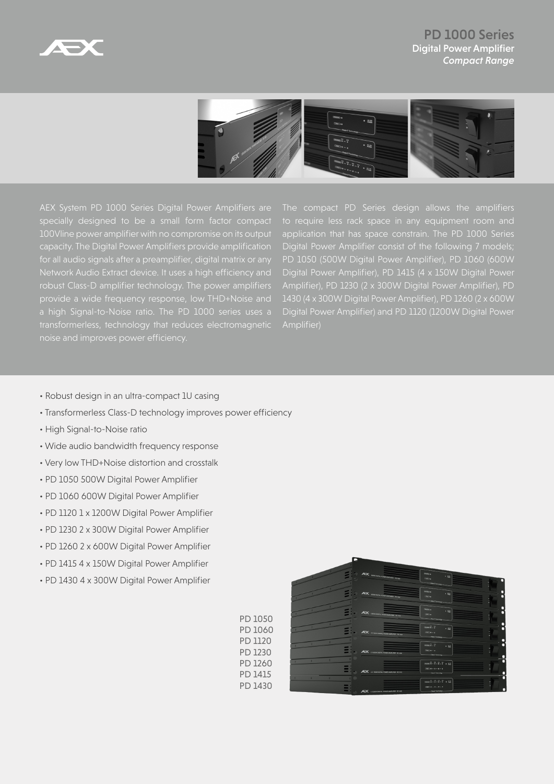

PD 1000 Series Digital Power Amplifier *Compact Range*



AEX System PD 1000 Series Digital Power Amplifiers are specially designed to be a small form factor compact 100Vline power amplifier with no compromise on its output capacity. The Digital Power Amplifiers provide amplification for all audio signals after a preamplifier, digital matrix or any robust Class-D amplifier technology. The power amplifiers a high Signal-to-Noise ratio. The PD 1000 series uses a transformerless, technology that reduces electromagnetic The compact PD Series design allows the amplifiers application that has space constrain. The PD 1000 Series Digital Power Amplifier consist of the following 7 models; PD 1050 (500W Digital Power Amplifier), PD 1060 (600W Digital Power Amplifier), PD 1415 (4 x 150W Digital Power Amplifier), PD 1230 (2 x 300W Digital Power Amplifier), PD 1430 (4 x 300W Digital Power Amplifier), PD 1260 (2 x 600W Digital Power Amplifier) and PD 1120 (1200W Digital Power

- Robust design in an ultra-compact 1U casing
- Transformerless Class-D technology improves power efficiency
- High Signal-to-Noise ratio
- Wide audio bandwidth frequency response
- Very low THD+Noise distortion and crosstalk
- PD 1050 500W Digital Power Amplifier
- PD 1060 600W Digital Power Amplifier
- PD 1120 1 x 1200W Digital Power Amplifier
- PD 1230 2 x 300W Digital Power Amplifier
- PD 1260 2 x 600W Digital Power Amplifier
- PD 1415 4 x 150W Digital Power Amplifier
- PD 1430 4 x 300W Digital Power Amplifier

PD 1050 PD 1060  $\cdot$  23 PD 1120 PD 1230 PD 1260 PD 1415 PD 1430